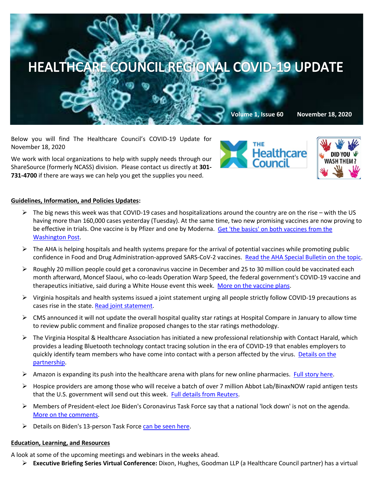

Below you will find The Healthcare Council's COVID-19 Update for November 18, 2020

We work with local organizations to help with supply needs through our ShareSource (formerly NCASS) division. Please contact us directly at **301- 731-4700** if there are ways we can help you get the supplies you need.





## **Guidelines, Information, and Policies Updates:**

- $\triangleright$  The big news this week was that COVID-19 cases and hospitalizations around the country are on the rise with the US having more than 160,000 cases yesterday (Tuesday). At the same time, two new promising vaccines are now proving to be effective in trials. One vaccine is by Pfizer and one by Moderna. [Get 'the basics' on both vaccines from the](https://www.washingtonpost.com/health/2020/11/17/covid-vaccines-what-you-need-to-know/?arc404=true)  [Washington Post.](https://www.washingtonpost.com/health/2020/11/17/covid-vaccines-what-you-need-to-know/?arc404=true)
- $\triangleright$  The AHA is helping hospitals and health systems prepare for the arrival of potential vaccines while promoting public confidence in Food and Drug Administration-approved SARS-CoV-2 vaccines. Read [the AHA Special Bulletin on the topic.](https://contentsharing.net/actions/email_web_version.cfm?ep=Bdhtp-zVuqFkgQiV6-lxty0f-nrLBJWzuTngPvD-5dU5TRp8slqwrw37NjHW-8F1t7YD53FEXORphJ0HtLUztwS7aEZzmM-XVRqBjpPz4o6GYQHk2djX_mJY6FVKZLce)
- $\triangleright$  Roughly 20 million people could get a coronavirus vaccine in December and 25 to 30 million could be vaccinated each month afterward, Moncef Slaoui, who co-leads Operation Warp Speed, the federal government's COVID-19 vaccine and therapeutics initiative, said during a White House event this week. [More on the vaccine plans.](https://www.politico.com/news/2020/11/13/trump-covid-vaccine-december-436481?mkt_tok=eyJpIjoiTnpabU5HRmhaR015TnpReiIsInQiOiIyMFpmb1o0YmpWOVdDb1VZbUpBZXQ0dWxaeTJkTnNTckM0OGJTbTh6YTVrdnd0ZUptS0I3QUdLRnI3cklLWjEyWEIyWXRcL0pjZnZPa2oxZXZlZm9CYVRCRVJPWHMzOEZld3daOE9lNDlydzA3b2VGcWtOd3NpckRwWTdnSUJaQmgifQ==)
- $\triangleright$  Virginia hospitals and health systems issued a joint statement urging all people strictly follow COVID-19 precautions as cases rise in the state. [Read joint statement.](https://www.vhha.com/communications/joint-statement-urging-virginians-to-practice-covid-19-health-and-safety-precautions/)
- $\triangleright$  CMS announced it will not update the overall hospital quality star ratings at Hospital Compare in January to allow time to review public comment and finalize proposed changes to the star ratings methodology.
- $\triangleright$  The Virginia Hospital & Healthcare Association has initiated a new professional relationship wit[h Contact Harald,](http://click.outreach.vhha.com/?qs=45bb5bfc05974865ffcf55027b44d90e27f5dc1ea685a4ddc5830129676b9735d0c1cc3bab4b3a450410ecf8facca5fab5faa7f00d600e69#_blank) which provides a leading Bluetooth technology contact tracing solution in the era of COVID-19 that enables employers to quickly identify team members who have come into contact with a person affected by the virus. [Details on the](https://www.vhha.com/communications/vhha-partners-with-contact-harald-developer-of-contact-tracing-workforce-technology-solution/)  [partnership.](https://www.vhha.com/communications/vhha-partners-with-contact-harald-developer-of-contact-tracing-workforce-technology-solution/)
- $\triangleright$  Amazon is expanding its push into the healthcare arena with plans for new online pharmacies. [Full story here.](https://www.bloomberg.com/news/articles/2020-11-17/amazon-expands-push-into-health-care-with-online-pharmacy?mkt_tok=eyJpIjoiTVdFeE9UUTJPREpoWkRNNCIsInQiOiJXSHFYVUJiRjl4SUtmR0YwWGhrZ2dZXC9DdXREVFFhb3JVVUVrS0xPU0lhMTBYY2NkcVdrajBHREpVM0hQT3VzblczWEpoT0NKeVQ1WFwvcnZcL0ZrQjhrS2NJR2Q0djNQR2J3cWlLSCtQbHlNZlwvcHlxQTRRVHJKNmVNQnRmZ1wvSFA3In0=)
- $\triangleright$  Hospice providers are among those who will receive a batch of over 7 million Abbot Lab/BinaxNOW rapid antigen tests that the U.S. government will send out this week. [Full details from Reuters.](https://www.reuters.com/article/us-health-coronavirus-usa-testing/u-s-government-to-send-out-over-7-million-abbott-binaxnow-tests-this-week-idUSKBN27W2XN?mkt_tok=eyJpIjoiTVdFeE9UUTJPREpoWkRNNCIsInQiOiJXSHFYVUJiRjl4SUtmR0YwWGhrZ2dZXC9DdXREVFFhb3JVVUVrS0xPU0lhMTBYY2NkcVdrajBHREpVM0hQT3VzblczWEpoT0NKeVQ1WFwvcnZcL0ZrQjhrS2NJR2Q0djNQR2J3cWlLSCtQbHlNZlwvcHlxQTRRVHJKNmVNQnRmZ1wvSFA3In0=)
- Members of President-elect Joe Biden's Coronavirus Task Force say that a national 'lock down' is not on the agenda. [More on the comments.](https://www.bloomberg.com/news/articles/2020-11-15/biden-virus-advisers-say-a-national-lockdown-isn-t-on-the-agenda?sref=relrodva&mkt_tok=eyJpIjoiTnpabU5HRmhaR015TnpReiIsInQiOiIyMFpmb1o0YmpWOVdDb1VZbUpBZXQ0dWxaeTJkTnNTckM0OGJTbTh6YTVrdnd0ZUptS0I3QUdLRnI3cklLWjEyWEIyWXRcL0pjZnZPa2oxZXZlZm9CYVRCRVJPWHMzOEZld3daOE9lNDlydzA3b2VGcWtOd3NpckRwWTdnSUJaQmgifQ==)
- $\triangleright$  Details on Biden's 13-person Task Forc[e can be seen here.](https://www.bloomberg.com/news/articles/2020-11-09/biden-s-covid-task-force-to-play-key-role-in-pandemic-response?mkt_tok=eyJpIjoiT1RJMlptTXhOMlprT0RobSIsInQiOiJXNFk5NTEyT2E2SVVHY013M3AzalhBTmFzY3gzVWJUMktnNTA0UDlkbWhHZHZDMjQ3Q2IxS1VSQTJKRG5EQmJkaDJTSkNXQzY2NkVpTWppWEtxc1djZTg0TFNcL21ZWCsyQUhnTVc1OWZaN3BMZm53bFlrazg3UUNHcUEyd3grSUoifQ==)

## **Education, Learning, and Resources**

A look at some of the upcoming meetings and webinars in the weeks ahead.

**Executive Briefing Series Virtual Conference:** Dixon, Hughes, Goodman LLP (a Healthcare Council partner) has a virtual